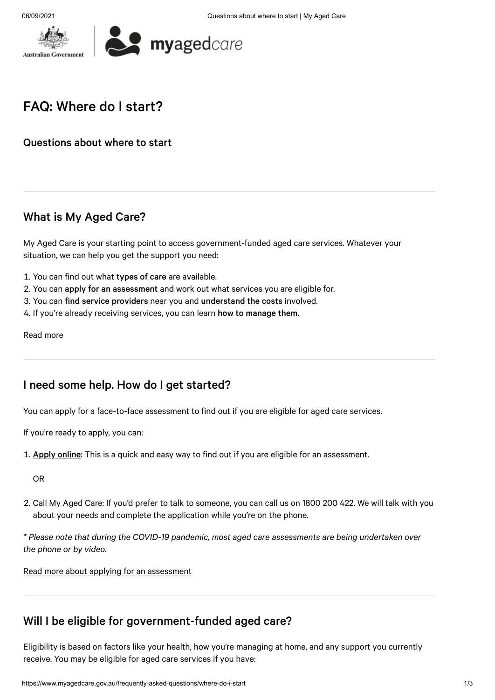



## FAQ: Where do I start?

Questions about where to start

### What is [My Aged](#page-0-0) Care?

<span id="page-0-0"></span>My Aged Care is your starting point to access government-funded aged care services. Whatever your situation, we can help you get the support you need:

- 1. You can find out what types of care are available.
- 2. You can apply for an assessment and work out what services you are eligible for.
- 3. You can find service providers near you and understand the costs involved.
- 4. If you're already receiving services, you can learn how to manage them.

#### [Read](https://www.myagedcare.gov.au/about-us) more

#### I need some help. How do I get [started?](#page-0-1)

<span id="page-0-1"></span>You can apply for a face-to-face assessment to find out if you are eligible for aged care services.

If you're ready to apply, you can:

1. Apply [online](https://www.myagedcare.gov.au/node/1511289): This is a quick and easy way to find out if you are eligible for an assessment.

OR

2. Call My Aged Care: If you'd prefer to talk to someone, you can call us on [1800](tel:1800 200 422) 200 422. We will talk with you about your needs and complete the application while you're on the phone.

*\* Please note that during the COVID-19 pandemic, most aged care assessments are being undertaken over the phone or by video.*

Read more about [applying for](https://www.myagedcare.gov.au/assessment) an assessment

## Will I be eligible for [government-funded](#page-0-2) aged care?

<span id="page-0-2"></span>Eligibility is based on factors like your health, how you're managing at home, and any support you currently receive. You may be eligible for aged care services if you have: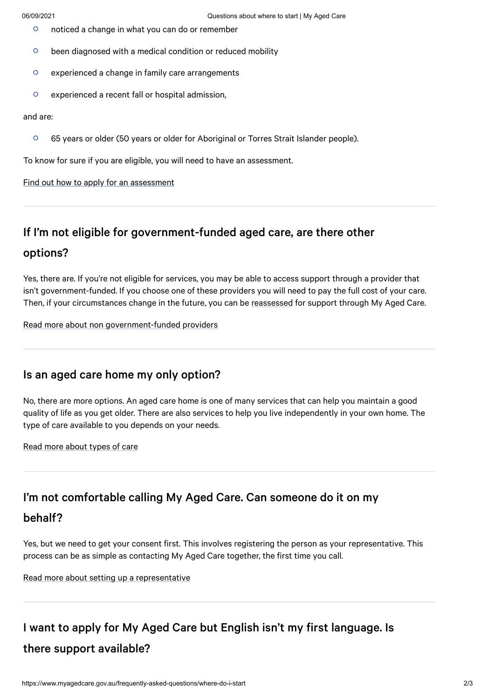- $\Omega$ noticed a change in what you can do or remember
- $\circ$ been diagnosed with a medical condition or reduced mobility
- $\circ$ experienced a change in family care arrangements
- $\circ$ experienced a recent fall or hospital admission,

#### and are:

 $\circ$ 65 years or older (50 years or older for Aboriginal or Torres Strait Islander people).

To know for sure if you are eligible, you will need to have an assessment.

Find out how to apply for an [assessment](https://www.myagedcare.gov.au/am-i-eligible)

#### If I'm not eligible for [government-funded](#page-1-0) aged care, are there other

### options?

<span id="page-1-0"></span>Yes, there are. If you're not eligible for services, you may be able to access support through a provider that isn't government-funded. If you choose one of these providers you will need to pay the full cost of your care. Then, if your circumstances change in the future, you can be [reassessed](https://www.myagedcare.gov.au/assessment/when-get-reassessed) for support through My Aged Care.

Read more about non [government-funded](https://www.myagedcare.gov.au/non-government-funded-providers) providers

#### Is an aged care home [my only option?](#page-1-1)

<span id="page-1-1"></span>No, there are more options. An aged care home is one of many services that can help you maintain a good quality of life as you get older. There are also services to help you live independently in your own home. The type of care available to you depends on your needs.

Read more [about](https://www.myagedcare.gov.au/types-care) types of care

#### I'm not [comfortable](#page-1-2) calling My Aged Care. Can someone do it on my

#### behalf?

<span id="page-1-2"></span>Yes, but we need to get your consent first. This involves registering the person as your representative. This process can be as simple as contacting My Aged Care together, the first time you call.

Read more about setting up a [representative](https://www.myagedcare.gov.au/my-aged-care-representatives)

# I want to apply for My Aged Care but English isn't my first language. Is there support [available?](#page-2-0)